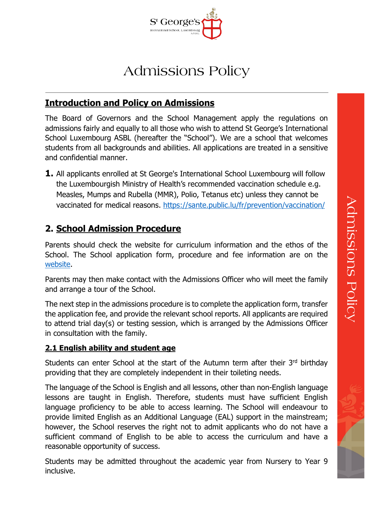

# Admissions Policy

## **Introduction and Policy on Admissions**

The Board of Governors and the School Management apply the regulations on admissions fairly and equally to all those who wish to attend St George's International School Luxembourg ASBL (hereafter the "School"). We are a school that welcomes students from all backgrounds and abilities. All applications are treated in a sensitive and confidential manner.

**1.** All applicants enrolled at St George's International School Luxembourg will follow the Luxembourgish Ministry of Health's recommended vaccination schedule e.g. Measles, Mumps and Rubella (MMR), Polio, Tetanus etc) unless they cannot be vaccinated for medical reasons. <https://sante.public.lu/fr/prevention/vaccination/>

# **2. School Admission Procedure**

Parents should check the website for curriculum information and the ethos of the School. The School application form, procedure and fee information are on the [website.](https://www.st-georges.lu/admissions/schoolfees)

Parents may then make contact with the Admissions Officer who will meet the family and arrange a tour of the School.

The next step in the admissions procedure is to complete the application form, transfer the application fee, and provide the relevant school reports. All applicants are required to attend trial day(s) or testing session, which is arranged by the Admissions Officer in consultation with the family.

#### **2.1 English ability and student age**

Students can enter School at the start of the Autumn term after their 3rd birthday providing that they are completely independent in their toileting needs.

The language of the School is English and all lessons, other than non-English language lessons are taught in English. Therefore, students must have sufficient English language proficiency to be able to access learning. The School will endeavour to provide limited English as an Additional Language (EAL) support in the mainstream; however, the School reserves the right not to admit applicants who do not have a sufficient command of English to be able to access the curriculum and have a reasonable opportunity of success.

Students may be admitted throughout the academic year from Nursery to Year 9 inclusive.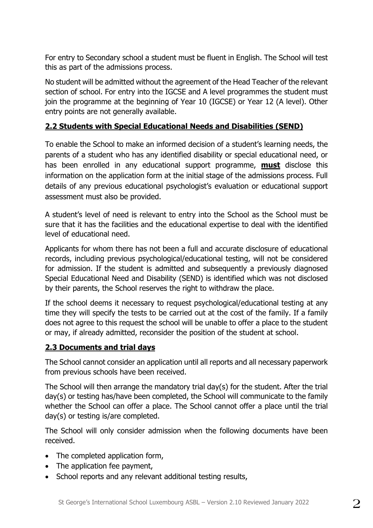For entry to Secondary school a student must be fluent in English. The School will test this as part of the admissions process.

No student will be admitted without the agreement of the Head Teacher of the relevant section of school. For entry into the IGCSE and A level programmes the student must join the programme at the beginning of Year 10 (IGCSE) or Year 12 (A level). Other entry points are not generally available.

### **2.2 Students with Special Educational Needs and Disabilities (SEND)**

To enable the School to make an informed decision of a student's learning needs, the parents of a student who has any identified disability or special educational need, or has been enrolled in any educational support programme, **must** disclose this information on the application form at the initial stage of the admissions process. Full details of any previous educational psychologist's evaluation or educational support assessment must also be provided.

A student's level of need is relevant to entry into the School as the School must be sure that it has the facilities and the educational expertise to deal with the identified level of educational need.

Applicants for whom there has not been a full and accurate disclosure of educational records, including previous psychological/educational testing, will not be considered for admission. If the student is admitted and subsequently a previously diagnosed Special Educational Need and Disability (SEND) is identified which was not disclosed by their parents, the School reserves the right to withdraw the place.

If the school deems it necessary to request psychological/educational testing at any time they will specify the tests to be carried out at the cost of the family. If a family does not agree to this request the school will be unable to offer a place to the student or may, if already admitted, reconsider the position of the student at school.

#### **2.3 Documents and trial days**

The School cannot consider an application until all reports and all necessary paperwork from previous schools have been received.

The School will then arrange the mandatory trial day(s) for the student. After the trial day(s) or testing has/have been completed, the School will communicate to the family whether the School can offer a place. The School cannot offer a place until the trial day(s) or testing is/are completed.

The School will only consider admission when the following documents have been received.

- The completed application form,
- The application fee payment,
- School reports and any relevant additional testing results,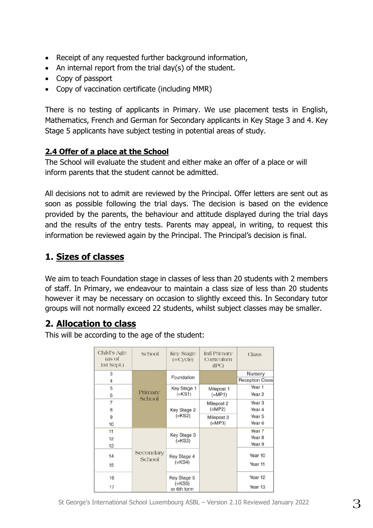- Receipt of any requested further background information,
- An internal report from the trial day(s) of the student.
- Copy of passport
- Copy of vaccination certificate (including MMR)

There is no testing of applicants in Primary. We use placement tests in English, Mathematics, French and German for Secondary applicants in Key Stage 3 and 4. Key Stage 5 applicants have subject testing in potential areas of study.

## **2.4 Offer of a place at the School**

The School will evaluate the student and either make an offer of a place or will inform parents that the student cannot be admitted.

All decisions not to admit are reviewed by the Principal. Offer letters are sent out as soon as possible following the trial days. The decision is based on the evidence provided by the parents, the behaviour and attitude displayed during the trial days and the results of the entry tests. Parents may appeal, in writing, to request this information be reviewed again by the Principal. The Principal's decision is final.

## **1. Sizes of classes**

We aim to teach Foundation stage in classes of less than 20 students with 2 members of staff. In Primary, we endeavour to maintain a class size of less than 20 students however it may be necessary on occasion to slightly exceed this. In Secondary tutor groups will not normally exceed 22 students, whilst subject classes may be smaller.

## **2. Allocation to class**

This will be according to the age of the student:

| Child's Age<br>(as of<br>1st Sept.) | School              | <b>Key Stage</b><br>$( = cycle)$       | <b>Intl Primary</b><br>Curriculum<br>(IPC) | Class                                 |
|-------------------------------------|---------------------|----------------------------------------|--------------------------------------------|---------------------------------------|
| 3<br>4                              | Primary<br>School   | Foundation                             |                                            | Nursery<br><b>Reception Class</b>     |
| 5<br>6                              |                     | Key Stage 1<br>$(=KS1)$                | Milepost 1<br>$(=MP1)$                     | Year <sub>1</sub><br>Year 2           |
| $\overline{7}$<br>8                 |                     | Key Stage 2<br>$(=KS2)$                | Milepost 2<br>$(=\mathsf{MP2})$            | Year <sub>3</sub><br>Year 4           |
| 9<br>10                             |                     |                                        | Milepost 3<br>$(=\mathsf{MP}3)$            | Year 5<br>Year <sub>6</sub>           |
| 11<br>12<br>13                      | Secondary<br>School | Key Stage 3<br>$(=KS3)$                |                                            | Year 7<br>Year <sub>8</sub><br>Year 9 |
| 14<br>15                            |                     | Key Stage 4<br>$(=KS4)$                |                                            | Year 10<br>Year 11                    |
| 16<br>17                            |                     | Key Stage 5<br>$(=KS5)$<br>or 6th form |                                            | Year 12<br>Year 13                    |